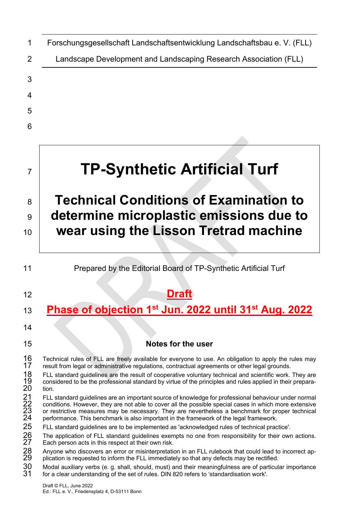| 1                                      | Forschungsgesellschaft Landschaftsentwicklung Landschaftsbau e. V. (FLL)                                                                                                                                                                                                                                                                                                                                                                                                                                                                                                                                             |
|----------------------------------------|----------------------------------------------------------------------------------------------------------------------------------------------------------------------------------------------------------------------------------------------------------------------------------------------------------------------------------------------------------------------------------------------------------------------------------------------------------------------------------------------------------------------------------------------------------------------------------------------------------------------|
| 2                                      | Landscape Development and Landscaping Research Association (FLL)                                                                                                                                                                                                                                                                                                                                                                                                                                                                                                                                                     |
| 3                                      |                                                                                                                                                                                                                                                                                                                                                                                                                                                                                                                                                                                                                      |
| 4                                      |                                                                                                                                                                                                                                                                                                                                                                                                                                                                                                                                                                                                                      |
| 5                                      |                                                                                                                                                                                                                                                                                                                                                                                                                                                                                                                                                                                                                      |
| 6                                      |                                                                                                                                                                                                                                                                                                                                                                                                                                                                                                                                                                                                                      |
|                                        |                                                                                                                                                                                                                                                                                                                                                                                                                                                                                                                                                                                                                      |
| $\overline{7}$                         | <b>TP-Synthetic Artificial Turf</b>                                                                                                                                                                                                                                                                                                                                                                                                                                                                                                                                                                                  |
| 8                                      | <b>Technical Conditions of Examination to</b>                                                                                                                                                                                                                                                                                                                                                                                                                                                                                                                                                                        |
| 9                                      | determine microplastic emissions due to                                                                                                                                                                                                                                                                                                                                                                                                                                                                                                                                                                              |
| 10                                     | wear using the Lisson Tretrad machine                                                                                                                                                                                                                                                                                                                                                                                                                                                                                                                                                                                |
|                                        |                                                                                                                                                                                                                                                                                                                                                                                                                                                                                                                                                                                                                      |
| 11                                     | Prepared by the Editorial Board of TP-Synthetic Artificial Turf                                                                                                                                                                                                                                                                                                                                                                                                                                                                                                                                                      |
| 12                                     |                                                                                                                                                                                                                                                                                                                                                                                                                                                                                                                                                                                                                      |
| 13                                     | Phase of objection 1 <sup>st</sup> Jun. 2022 until 31 <sup>st</sup> Aug. 2022                                                                                                                                                                                                                                                                                                                                                                                                                                                                                                                                        |
| 14                                     |                                                                                                                                                                                                                                                                                                                                                                                                                                                                                                                                                                                                                      |
| 15                                     | Notes for the user                                                                                                                                                                                                                                                                                                                                                                                                                                                                                                                                                                                                   |
| 16<br>17<br>18<br>19<br>20             | Technical rules of FLL are freely available for everyone to use. An obligation to apply the rules may<br>result from legal or administrative regulations, contractual agreements or other legal grounds.<br>FLL standard guidelines are the result of cooperative voluntary technical and scientific work. They are<br>considered to be the professional standard by virtue of the principles and rules applied in their prepara-<br>tion.                                                                                                                                                                           |
| 21<br>22<br>23<br>24<br>25<br>26<br>27 | FLL standard guidelines are an important source of knowledge for professional behaviour under normal<br>conditions. However, they are not able to cover all the possible special cases in which more extensive<br>or restrictive measures may be necessary. They are nevertheless a benchmark for proper technical<br>performance. This benchmark is also important in the framework of the legal framework.<br>FLL standard guidelines are to be implemented as 'acknowledged rules of technical practice'.<br>The application of FLL standard guidelines exempts no one from responsibility for their own actions. |
| 28<br>29<br>30<br>31                   | Each person acts in this respect at their own risk.<br>Anyone who discovers an error or misinterpretation in an FLL rulebook that could lead to incorrect ap-<br>plication is requested to inform the FLL immediately so that any defects may be rectified.<br>Modal auxiliary verbs (e. g. shall, should, must) and their meaningfulness are of particular importance<br>for a clear understanding of the set of rules. DIN 820 refers to 'standardisation work'.                                                                                                                                                   |
|                                        |                                                                                                                                                                                                                                                                                                                                                                                                                                                                                                                                                                                                                      |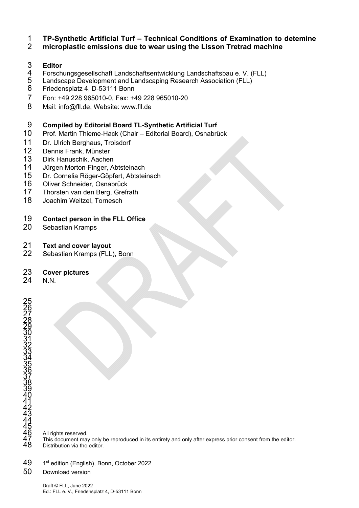#### 1 **TP-Synthetic Artificial Turf – Technical Conditions of Examination to detemine**

#### 2 **microplastic emissions due to wear using the Lisson Tretrad machine**

# 3 **Editor**

- 4 Forschungsgesellschaft Landschaftsentwicklung Landschaftsbau e. V. (FLL)<br>5 Landscape Development and Landscaping Research Association (FLL)
- 5 Landscape Development and Landscaping Research Association (FLL)
- 6 Friedensplatz 4, D-53111 Bonn
- 7 Fon: +49 228 965010-0, Fax: +49 228 965010-20
- 8 Mail: info@fll.de, Website: www.fll.de

#### 9 **Compiled by Editorial Board TL-Synthetic Artificial Turf**

- 10 Prof. Martin Thieme-Hack (Chair Editorial Board), Osnabrück
- 11 Dr. Ulrich Berghaus, Troisdorf
- 12 Dennis Frank, Münster
- 13 Dirk Hanuschik, Aachen
- 14 Jürgen Morton-Finger, Abtsteinach<br>15 Dr. Cornelia Röger-Göpfert, Abtstei
- Dr. Cornelia Röger-Göpfert, Abtsteinach
- 16 Oliver Schneider, Osnabrück
- 17 Thorsten van den Berg, Grefrath
- 18 Joachim Weitzel, Tornesch

#### 19 **Contact person in the FLL Office**

20 Sebastian Kramps

#### 21 **Text and cover layout**

22 Sebastian Kramps (FLL), Bonn

#### 23 **Cover pictures**

24 N.N.

All rights reserved. This document may only be reproduced in its entirety and only after express prior consent from the editor. Distribution via the editor.

49 1st edition (English), Bonn, October 2022

#### 50 Download version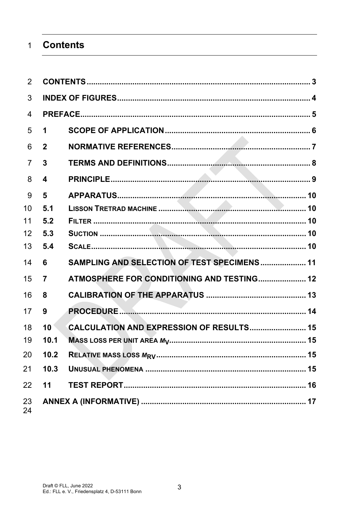#### **Contents**  $\overline{1}$

| 2              |                |                                             |  |
|----------------|----------------|---------------------------------------------|--|
| 3              |                |                                             |  |
| $\overline{4}$ |                |                                             |  |
| 5              | 1              |                                             |  |
| 6              | $\mathbf{2}$   |                                             |  |
| $\overline{7}$ | $\mathbf{3}$   |                                             |  |
| 8              | 4              |                                             |  |
| 9              | 5              |                                             |  |
| 10             | 5.1            |                                             |  |
| 11             | 5.2            |                                             |  |
| 12             | 5.3            |                                             |  |
| 13             | 5.4            |                                             |  |
| 14             | 6              | SAMPLING AND SELECTION OF TEST SPECIMENS 11 |  |
| 15             | $\overline{7}$ | ATMOSPHERE FOR CONDITIONING AND TESTING 12  |  |
| 16             | 8              |                                             |  |
| 17             | 9              |                                             |  |
| 18             | 10             | CALCULATION AND EXPRESSION OF RESULTS 15    |  |
| 19             | 10.1           |                                             |  |
| 20             | 10.2           |                                             |  |
| 21             | 10.3           |                                             |  |
| 22             | 11             |                                             |  |
| 23<br>24       |                |                                             |  |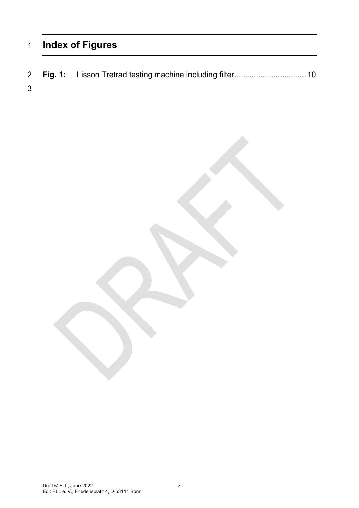# **Index of Figures**

- **Fig. 1:** Lisson Tretrad testing machine including filter ................................. 10
-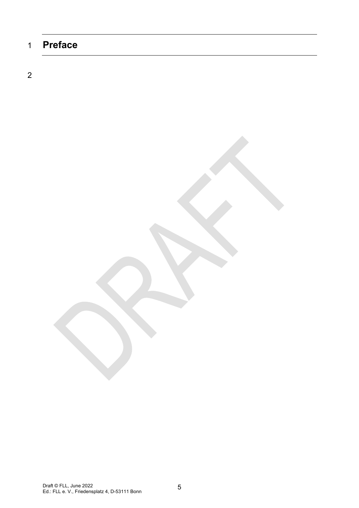# 1 **Preface**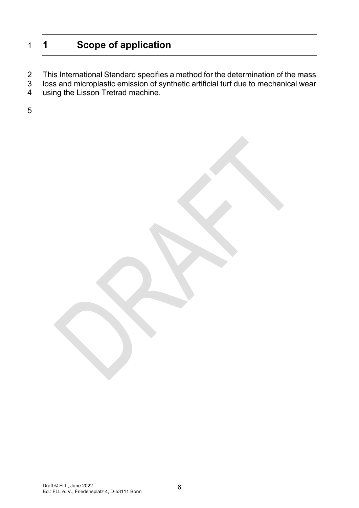# 1 **1 Scope of application**

- 2 This International Standard specifies a method for the determination of the mass<br>3 loss and microplastic emission of synthetic artificial turf due to mechanical wear
- 3 loss and microplastic emission of synthetic artificial turf due to mechanical wear<br>4 using the Lisson Tretrad machine.
- using the Lisson Tretrad machine.
- 5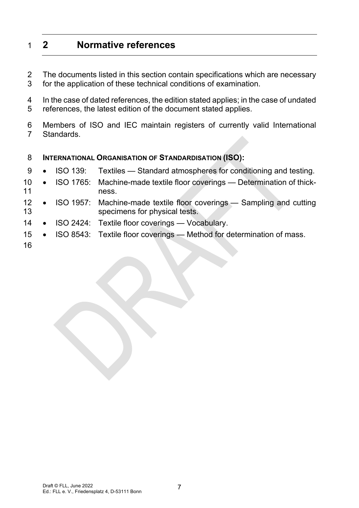# 1 **2 Normative references**

- 2 The documents listed in this section contain specifications which are necessary 3 for the application of these technical conditions of examination.
- 4 In the case of dated references, the edition stated applies; in the case of undated 5 references, the latest edition of the document stated applies.
- 6 Members of ISO and IEC maintain registers of currently valid International 7 Standards.

#### 8 **INTERNATIONAL ORGANISATION OF STANDARDISATION (ISO):**

- 9 ISO 139: Textiles Standard atmospheres for conditioning and testing.
- 10 ISO 1765: Machine-made textile floor coverings Determination of thick-11 ness.
- 12 ISO 1957: Machine-made textile floor coverings Sampling and cutting 13 specimens for physical tests.
- 14 ISO 2424: Textile floor coverings Vocabulary.
- 15 ISO 8543: Textile floor coverings Method for determination of mass.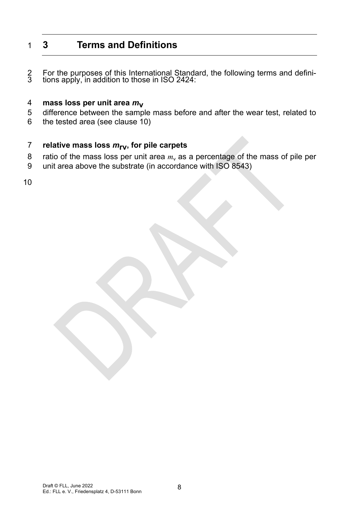# 1 **3 Terms and Definitions**

2 For the purposes of this International Standard, the following terms and defini- 3 tions apply, in addition to those in ISO 2424:

# 4 **mass loss per unit area** *m***v**

- 5 difference between the sample mass before and after the wear test, related to
- 6 the tested area (see clause 10)

#### 7 **relative mass loss** *m***rv, for pile carpets**

- 8 ratio of the mass loss per unit area  $m_v$  as a percentage of the mass of pile per
- 9 unit area above the substrate (in accordance with ISO 8543)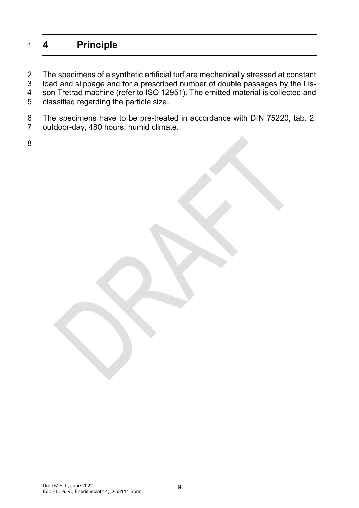# 1 **4 Principle**

2 The specimens of a synthetic artificial turf are mechanically stressed at constant<br>3 load and slippage and for a prescribed number of double passages by the Lisload and slippage and for a prescribed number of double passages by the Lis-4 son Tretrad machine (refer to ISO 12951). The emitted material is collected and 5 classified regarding the particle size.

6 The specimens have to be pre-treated in accordance with DIN 75220, tab. 2, 7 outdoor-day, 480 hours, humid climate.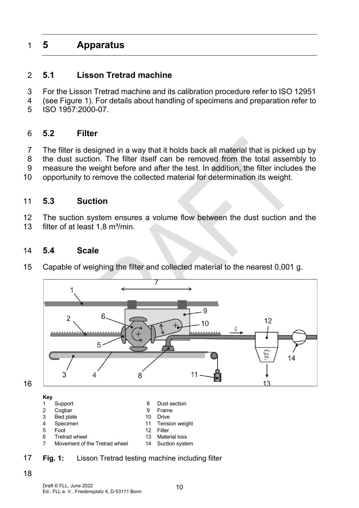# 1 **5 Apparatus**

### 2 **5.1 Lisson Tretrad machine**

- 3 For the Lisson Tretrad machine and its calibration procedure refer to ISO 12951
- 4 (see Figure 1). For details about handling of specimens and preparation refer to
- 5 ISO 1957:2000-07.

#### 6 **5.2 Filter**

7 The filter is designed in a way that it holds back all material that is picked up by 8 the dust suction. The filter itself can be removed from the total assembly to 9 measure the weight before and after the test. In addition, the filter includes the

10 opportunity to remove the collected material for determination its weight.

#### 11 **5.3 Suction**

12 The suction system ensures a volume flow between the dust suction and the 13 filter of at least  $1.8 \text{ m}^3/\text{min}$ .

#### 14 **5.4 Scale**

15 Capable of weighing the filter and collected material to the nearest 0,001 g.



#### 17 **Fig. 1:** Lisson Tretrad testing machine including filter

18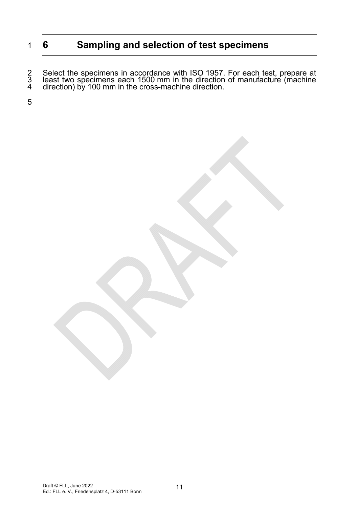# 1 **6 Sampling and selection of test specimens**

2 Select the specimens in accordance with ISO 1957. For each test, prepare at 1500 keast two specimens each 1500 mm in the direction of manufacture (machine 4 direction) by 100 mm in the cross-machine direction.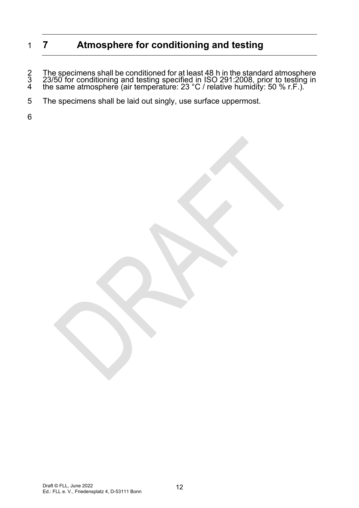# 1 **7 Atmosphere for conditioning and testing**

2 The specimens shall be conditioned for at least 48 h in the standard atmosphere<br>3 23/50 for conditioning and testing specified in ISO 291:2008, prior to testing in<br>4 the same atmosphere (air temperature: 23 °C / relative

- 5 The specimens shall be laid out singly, use surface uppermost.
- 6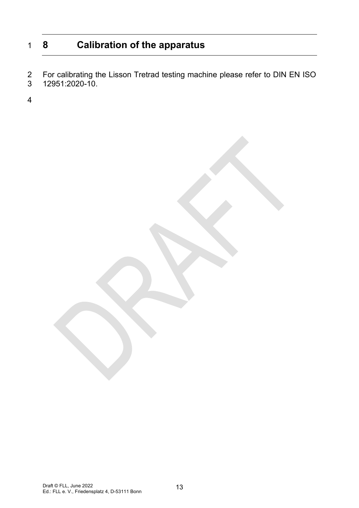# 1 **8 Calibration of the apparatus**

2 For calibrating the Lisson Tretrad testing machine please refer to DIN EN ISO<br>3 12951:2020-10. 3 12951:2020-10.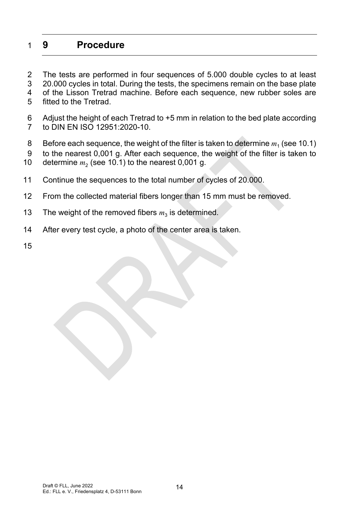# 1 **9 Procedure**

2 The tests are performed in four sequences of 5.000 double cycles to at least 3 20.000 cycles in total. During the tests, the specimens remain on the base plate 4 of the Lisson Tretrad machine. Before each sequence, new rubber soles are 5 fitted to the Tretrad.

- 6 Adjust the height of each Tretrad to +5 mm in relation to the bed plate according 7 to DIN EN ISO 12951:2020-10.
- Before each sequence, the weight of the filter is taken to determine  $m_1$  (see 10.1)
- 9 to the nearest 0,001 g. After each sequence, the weight of the filter is taken to
- 10 determine  $m<sub>2</sub>$  (see 10.1) to the nearest 0,001 g.
- 11 Continue the sequences to the total number of cycles of 20.000.
- 12 From the collected material fibers longer than 15 mm must be removed.
- 13 The weight of the removed fibers  $m_3$  is determined.
- 14 After every test cycle, a photo of the center area is taken.
- 15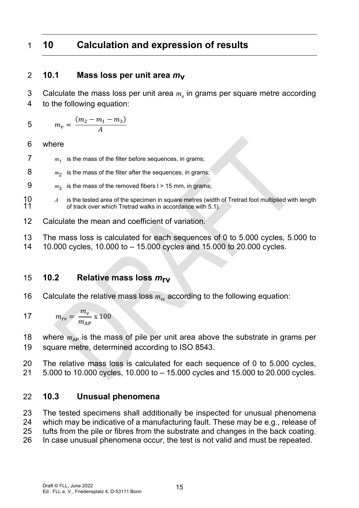# 1 **10 Calculation and expression of results**

# 2 **10.1 Mass loss per unit area** *m***v**

3 Calculate the mass loss per unit area  $m<sub>v</sub>$  in grams per square metre according 4 to the following equation:

$$
5 \qquad m_{\nu} = \frac{(m_2 - m_1 - m_3)}{A}
$$

6 where

- $7 \t m_1$  is the mass of the filter before sequences, in grams;
- $8 \qquad m_2$  is the mass of the filter after the sequences, in grams;
- 9  $m_3$  is the mass of the removed fibers  $l > 15$  mm, in grams;
- 10 *A* is the tested area of the specimen in square metres (width of Tretrad foot multiplied with length 11 of track over which Tretrad walks in accordance with 5.1). of track over which Tretrad walks in accordance with 5.1).
- 12 Calculate the mean and coefficient of variation.
- 13 The mass loss is calculated for each sequences of 0 to 5.000 cycles, 5.000 to
- 14 10.000 cycles, 10.000 to 15.000 cycles and 15.000 to 20.000 cycles.

## 15 **10.2 Relative mass loss** *m***rv**

16 Calculate the relative mass loss  $m_{\text{rv}}$  according to the following equation:

$$
m_{\rm rv} = \frac{m_{\rm v}}{m_{\rm AP}} \times 100
$$

18 where  $m_{AP}$  is the mass of pile per unit area above the substrate in grams per 19 square metre, determined according to ISO 8543.

20 The relative mass loss is calculated for each sequence of 0 to 5.000 cycles, 21 5.000 to 10.000 cycles, 10.000 to – 15.000 cycles and 15.000 to 20.000 cycles.

## 22 **10.3 Unusual phenomena**

23 The tested specimens shall additionally be inspected for unusual phenomena 24 which may be indicative of a manufacturing fault. These may be e.g., release of 25 tufts from the pile or fibres from the substrate and changes in the back coating. 26 In case unusual phenomena occur, the test is not valid and must be repeated.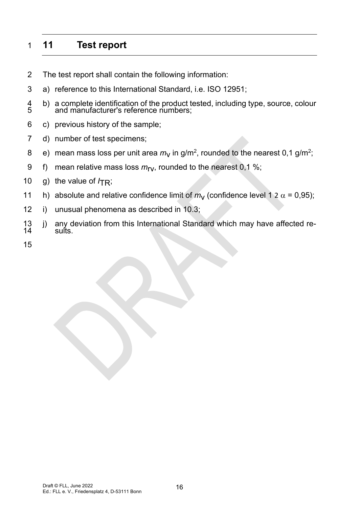# 1 **11 Test report**

- 2 The test report shall contain the following information:
- 3 a) reference to this International Standard, i.e. ISO 12951;
- 4 b) a complete identification of the product tested, including type, source, colour and manufacturer's reference numbers;
- 6 c) previous history of the sample;
- 7 d) number of test specimens;
- 8 e) mean mass loss per unit area  $m_V$  in g/m<sup>2</sup>, rounded to the nearest 0,1 g/m<sup>2</sup>;
- 9 f) mean relative mass loss  $m_{\text{IV}}$ , rounded to the nearest 0,1 %;
- 10 g) the value of  $ITR$ ;
- 11 h) absolute and relative confidence limit of  $m_V$  (confidence level 1 2  $\alpha$  = 0,95);
- 12 i) unusual phenomena as described in 10.3;
- 13 j) any deviation from this International Standard which may have affected re-<br>14 sults.
- 15